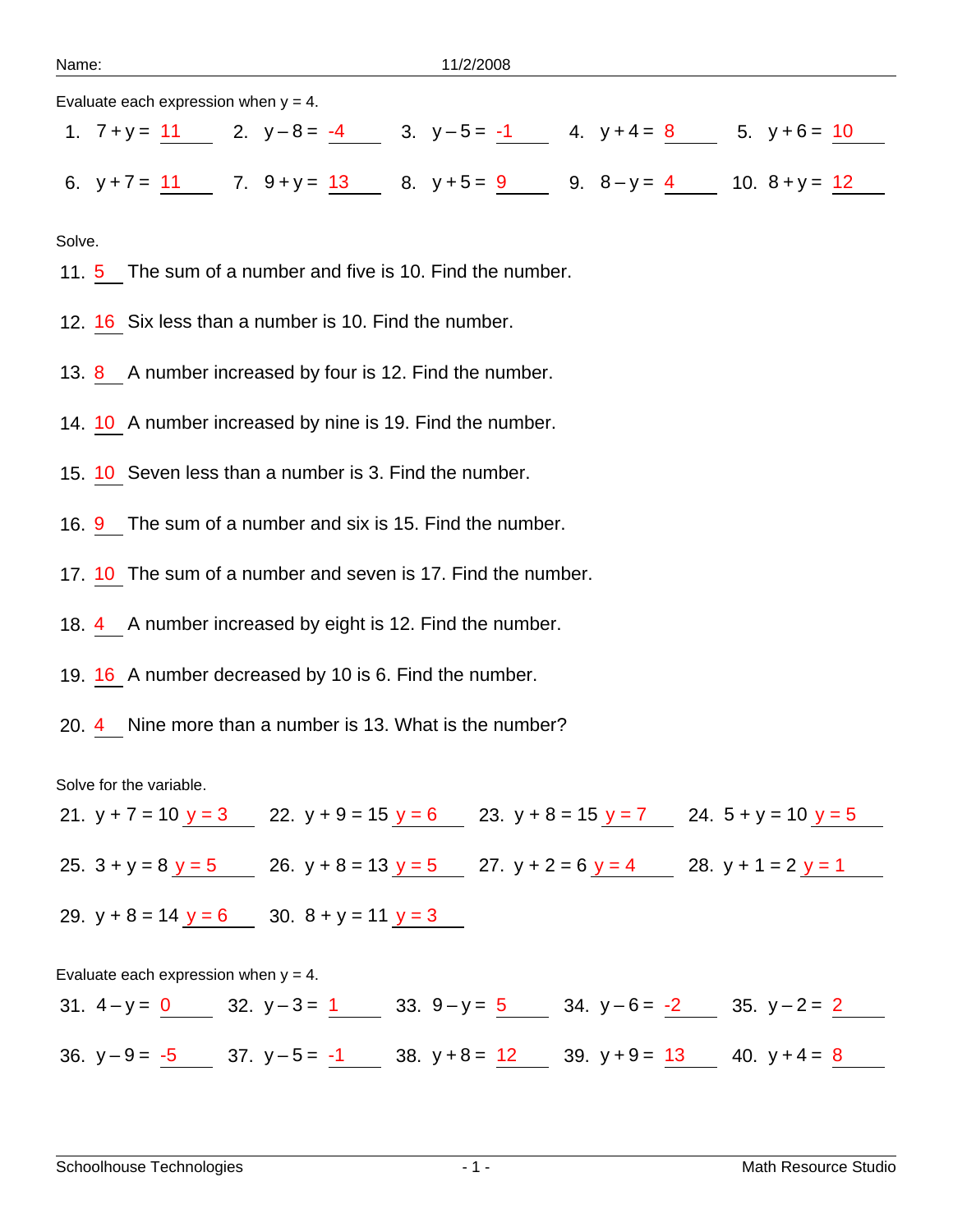Evaluate each expression when  $y = 4$ .

|  |  | 1. $7 + y = 11$ 2. $y-8 = -4$ 3. $y-5 = -1$ 4. $y+4 = 8$ 5. $y+6 = 10$ |  |  |  |
|--|--|------------------------------------------------------------------------|--|--|--|
|  |  |                                                                        |  |  |  |
|  |  | 6. $y+7 = 11$ 7. $9+y = 13$ 8. $y+5 = 9$ 9. $8-y = 4$ 10. $8+y = 12$   |  |  |  |

Solve.

- 11. 5 The sum of a number and five is 10. Find the number.
- 12. 16 Six less than a number is 10. Find the number.
- 13. 8 A number increased by four is 12. Find the number.
- 14. 10 A number increased by nine is 19. Find the number.
- 15. 10 Seven less than a number is 3. Find the number.
- 16. 9 The sum of a number and six is 15. Find the number.
- 17. 10 The sum of a number and seven is 17. Find the number.
- 18. 4 A number increased by eight is 12. Find the number.
- 19. 16 A number decreased by 10 is 6. Find the number.
- 20. 4 Nine more than a number is 13. What is the number?

Solve for the variable.

21.  $y + 7 = 10$   $y = 3$  22.  $y + 9 = 15$   $y = 6$  23.  $y + 8 = 15$   $y = 7$  24.  $5 + y = 10$   $y = 5$ 25.  $3 + y = 8$   $y = 5$  26.  $y + 8 = 13$   $y = 5$  27.  $y + 2 = 6$   $y = 4$  28.  $y + 1 = 2$   $y = 1$ 29.  $y + 8 = 14$   $y = 6$  30.  $8 + y = 11$   $y = 3$ 

Evaluate each expression when  $y = 4$ . 31.  $4-y = 0$  32.  $y-3 = 1$  33.  $9-y = 5$  34.  $y-6 = -2$  35.  $y-2 = 2$ 36.  $y-9=\frac{5}{-5}$  37.  $y-5=\frac{1}{-1}$  38.  $y+8=\frac{12}{-1}$  39.  $y+9=\frac{13}{-1}$  40.  $y+4=\frac{8}{-1}$